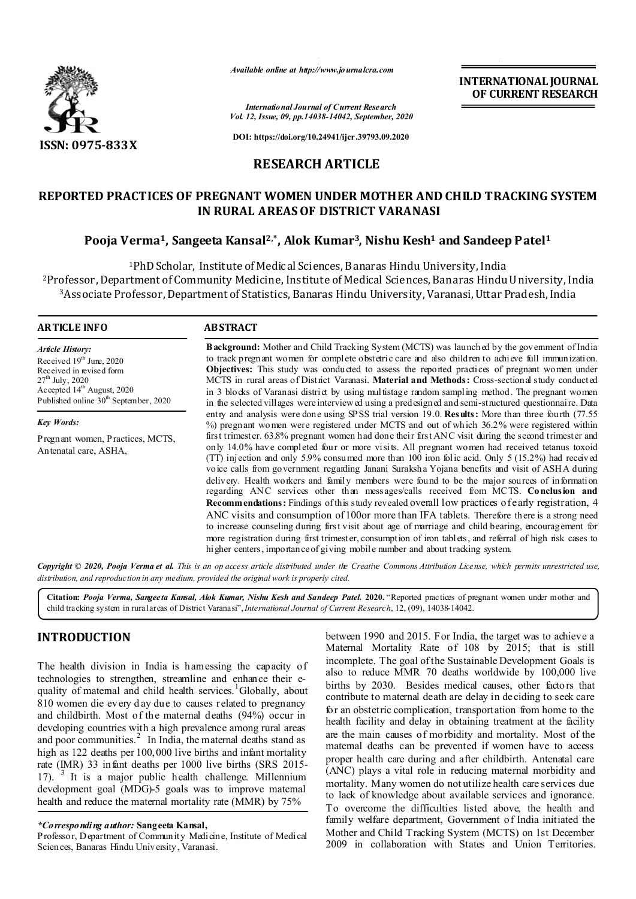

*Available online at http://www.journalcra.com*

**INTERNATIONAL JOURNAL OF CURRENT RESEARCH**

*International Journal of Current Research Vol. 12, Issue, 09, pp.14038-14042, September, 2020*

**DOI: https://doi.org/10.24941/ijcr.39793.09.2020**

# **RESEARCH ARTICLE**

# **REPORTED PRACTICES OF PREGNANT WOMEN UNDER MOTHER AND CHILD TRACKING SYSTEM IN RURAL AREAS OF DISTRICT VARANASI**

# **Pooja Verma1, Sangeeta Kansal2,\*, Alok Kumar3, Nishu Kesh1 and Sandeep Patel1**

1PhD Scholar, Institute of Medical Sciences, B anaras Hindu University, India <sup>2</sup>Professor, Department of Community Medicine, Institute of Medical Sciences, Banaras Hindu University, India 3Associate Professor, Department of Statistics, Banaras Hindu University, Varanasi, Uttar Pradesh, India

#### **ARTICLE INFO ABSTRACT**

*Article History:* Received  $19<sup>th</sup>$  June, 2020 Received in revised form  $27<sup>th</sup>$  July, 2020 Accepted 14<sup>th</sup> August, 2020 Published online 30<sup>th</sup> September, 2020

*Key Words:*

Pregnant women, Practices, MCTS, Antenatal care, ASHA,

**Background:** Mother and Child Tracking System (MCTS) was launched by the government of India to track pregnant women for complete obstetric care and also children to achieve full immunization. **Objectives:** This study was conducted to assess the reported practices of pregnant women under MCTS in rural areas of District Varanasi. **Material and Methods:** Cross-sectional study conducted in 3 blocks of Varanasi district by using multistage random sampling method. The pregnant women in the selected villages were interviewed using a predesigned and semi-structured questionnaire. Data entry and analysis were done using SPSS trial version 19.0. **Results:** More than three fourth (77.55 %) pregnant women were registered under MCTS and out of which 36.2% were registered within first trimester. 63.8% pregnant women had done their first ANC visit during the second trimester and only 14.0% have completed four or more visits. All pregnant women had received tetanus toxoid (TT) injection and only 5.9% consumed more than 100 iron folic acid. Only 5 (15.2%) had received voice calls from government regarding Janani Suraksha Yojana benefits and visit of ASHA during delivery. Health workers and family members were found to be the major sources of information regarding ANC services other than messages/calls received from MCTS. **Conclusion and Recommendations:** Findings of this study revealed overall low practices of early registration, 4 ANC visits and consumption of 100or more than IFA tablets. Therefore there is a strong need to increase counseling during first visit about age of marriage and child bearing, encouragement for more registration during first trimester, consumption of iron tablets, and referral of high risk cases to higher centers, importance of giving mobile number and about tracking system.

Copyright © 2020, Pooja Verma et al. This is an op access article distributed under the Creative Commons Attribution License, which permits unrestricted use, *distribution, and reproduction in any medium, provided the original work is properly cited.*

**Citation:** *Pooja Verma, Sangeeta Kansal, Alok Kumar, Nishu Kesh and Sandeep Patel.* **2020.** "Reported practices of pregnant women under mother and child tracking system in rural areas of District Varanasi",*International Journal of Current Research*, 12, (09), 14038-14042.

# **INTRODUCTION**

The health division in India is hamessing the capacity of technologies to strengthen, streamline and enhance their equality of matemal and child health services.<sup>1</sup>Globally, about 810 women die every d ay due to causes related to pregnancy and childbirth. Most of the maternal deaths (94%) occur in developing countries with a high prevalence among rural areas and poor communities.<sup>2</sup> In India, the maternal deaths stand as high as 122 deaths per 100,000 live births and infant mortality rate (IMR) 33 infant deaths per 1000 live births (SRS 2015- 17).  $3$  It is a major public health challenge. Millennium development goal (MDG)-5 goals was to improve maternal health and reduce the maternal mortality rate (MMR) by 75%

Professor, Department of Community Medicine, Institute of Medical Sciences, Banaras Hindu University, Varanasi.

between 1990 and 2015. For India, the target was to achieve a Maternal Mortality Rate of 108 by 2015; that is still incomplete. The goal of the Sustainable Development Goals is also to reduce MMR 70 deaths worldwide by 100,000 live births by 2030. Besides medical causes, other factors that contribute to maternal death are delay in deciding to seek care for an obstetric complication, transportation from home to the health facility and delay in obtaining treatment at the facility are the main causes of morbidity and mortality. Most of the maternal deaths can be prevented if women have to access proper health care during and after childbirth. Antenatal care (ANC) plays a vital role in reducing maternal morbidity and mortality. Many women do not utilize health care services due to lack of knowledge about available services and ignorance. To overcome the difficulties listed above, the health and family welfare department, Government of India initiated the Mother and Child Tracking System (MCTS) on 1st December 2009 in collaboration with States and Union Territories.

*<sup>\*</sup>Corresponding author:* **Sangeeta Kansal,**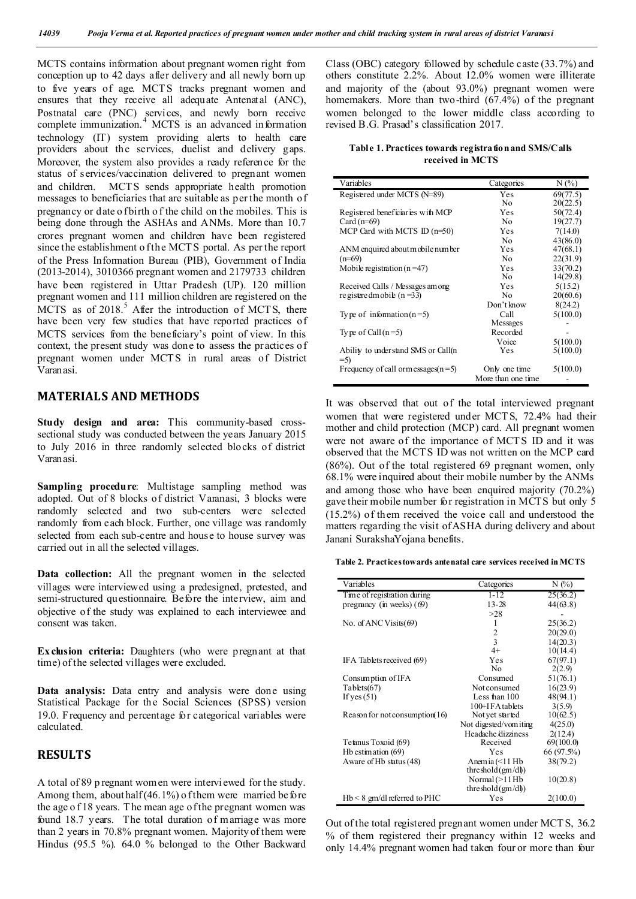MCTS contains information about pregnant women right from conception up to 42 days after delivery and all newly born up to five years of age. MCTS tracks pregnant women and ensures that they receive all adequate Antenatal (ANC), Postnatal care (PNC) services, and newly born receive complete immunization. 4 MCTS is an advanced information technology (IT) system providing alerts to health care providers about the services, duelist and delivery gaps. Moreover, the system also provides a ready reference for the status of services/vaccination delivered to pregnant women and children. MCT S sends appropriate health promotion messages to beneficiaries that are suitable as per the month of pregnancy or date o fbirth of the child on the mobiles. This is being done through the ASHAs and ANMs. More than 10.7 crores pregnant women and children have been registered since the establishment o f the MCTS portal. As per the report of the Press Information Bureau (PIB), Government of India (2013-2014), 3010366 pregnant women and 2179733 children have been registered in Uttar Pradesh (UP). 120 million pregnant women and 111 million children are registered on the MCTS as of  $2018$ .<sup>5</sup> After the introduction of MCTS, there have been very few studies that have reported practices of MCTS services from the beneficiary's point of view. In this context, the present study was done to assess the practices of pregnant women under MCT S in rural areas of District Varanasi.

## **MATERIALS AND METHODS**

**Study design and area:** This community-based crosssectional study was conducted between the years January 2015 to July 2016 in three randomly selected blocks of district Varanasi.

**Sampling procedure**: Multistage sampling method was adopted. Out of 8 blocks of district Varanasi, 3 blocks were randomly selected and two sub-centers were selected randomly from each block. Further, one village was randomly selected from each sub-centre and house to house survey was carried out in all the selected villages.

**Data collection:** All the pregnant women in the selected villages were interviewed using a predesigned, pretested, and semi-structured questionnaire. Before the interview, aim and objective of the study was explained to each interviewee and consent was taken.

**Ex clusion criteria:** Daughters (who were pregnant at that time) of the selected villages were excluded.

**Data analysis:** Data entry and analysis were done using Statistical Package for the Social Sciences (SPSS) version 19.0. Frequency and percentage for categorical variables were calculated.

## **RESULTS**

A total of 89 p regnant wom en were interviewed for the study. Among them, about half  $(46.1\%)$  of them were married before the age o f 18 years. T he mean age of the pregnant women was found 18.7 years. The total duration of marriage was more than 2 years in 70.8% pregnant women. Majority of them were Hindus (95.5 %). 64.0 % belonged to the Other Backward Class (OBC) category followed by schedule caste (33.7%) and others constitute 2.2%. About 12.0% women were illiterate and majority of the (about 93.0%) pregnant women were homemakers. More than two-third (67.4%) of the pregnant women belonged to the lower middle class according to revised B.G. Prasad's classification 2017.

**Table 1. Practices towards registration and SMS/Calls received in MCTS**

| Variables                            | Categories         | N(%      |
|--------------------------------------|--------------------|----------|
| Registered under MCTS (N=89)         | Yes                | 69(77.5) |
|                                      | No.                | 20(22.5) |
| Registered beneficiaries with MCP    | Yes                | 50(72.4) |
| Card $(n=69)$                        | No.                | 19(27.7) |
| MCP Card with MCTS ID $(n=50)$       | Yes                | 7(14.0)  |
|                                      | N <sub>0</sub>     | 43(86.0) |
| ANM enquired about mobile number     | Yes                | 47(68.1) |
| $(n=69)$                             | N <sub>0</sub>     | 22(31.9) |
| Mobile registration $(n=47)$         | Yes                | 33(70.2) |
|                                      | No.                | 14(29.8) |
| Received Calls / Messages among      | Yes                | 5(15.2)  |
| re gistere dm obile ( $n = 33$ )     | No                 | 20(60.6) |
|                                      | Don't know         | 8(24.2)  |
| Type of information $(n=5)$          | Call               | 5(100.0) |
|                                      | Messages           |          |
| Type of Call $(n=5)$                 | Recorded           |          |
|                                      | Voice              | 5(100.0) |
| Ability to understand SMS or Call(n  | Yes                | 5(100.0) |
| $= 5$                                |                    |          |
| Frequency of call ormessages $(n=5)$ | Only one time      | 5(100.0) |
|                                      | More than one time |          |

It was observed that out of the total interviewed pregnant women that were registered under MCT S, 72.4% had their mother and child protection (MCP) card. All pregnant women were not aware of the importance of MCT S ID and it was observed that the MCTS ID was not written on the MCP card (86%). Out of the total registered 69 pregnant women, only 68.1% were inquired about their mobile number by the ANMs and among those who have been enquired majority (70.2%) gave their mobile number for registration in MCTS but only 5 (15.2%) of them received the voice call and understood the matters regarding the visit of ASHA during delivery and about Janani SurakshaYojana benefits.

**Table 2. Practices towards antenatal care services received in MCTS**

| Variables                         | Categories             | $N(\%)$    |
|-----------------------------------|------------------------|------------|
| Time of registration during       | $1 - 12$               | 25(36.2)   |
| pregnancy (in weeks) $(69)$       | $13 - 28$              | 44(63.8)   |
|                                   | >28                    |            |
| No. of ANC Visits $(69)$          | 1                      | 25(36.2)   |
|                                   | 2                      | 20(29.0)   |
|                                   | 3                      | 14(20.3)   |
|                                   | $4+$                   | 10(14.4)   |
| IFA Tablets received (69)         | Yes                    | 67(97.1)   |
|                                   | No                     | 2(2.9)     |
| Consumption of IFA                | Consumed               | 51(76.1)   |
| Tablets(67)                       | Not consumed           | 16(23.9)   |
| If yes $(51)$                     | Less than $100$        | 48(94.1)   |
|                                   | 100+IFA tablets        | 3(5.9)     |
| Reason for not consumption $(16)$ | Not yet started        | 10(62.5)   |
|                                   | Not digested/vom iting | 4(25.0)    |
|                                   | Headache dizziness     | 2(12.4)    |
| Tetanus Toxoid (69)               | Received               | 69(100.0)  |
| Hb estimation (69)                | Yes                    | 66 (97.5%) |
| Aware of Hb status (48)           | Anemia $($ $1$ Hb      | 38(79.2)   |
|                                   | threshold $(gm/d)$     |            |
|                                   | Normal $(>11$ Hb       | 10(20.8)   |
|                                   | threshold $(gm/d)$     |            |
| $Hb < 8$ gm/dl referred to PHC    | Yes                    | 2(100.0)   |

Out of the total registered pregnant women under MCT S, 36.2 % of them registered their pregnancy within 12 weeks and only 14.4% pregnant women had taken four or more than four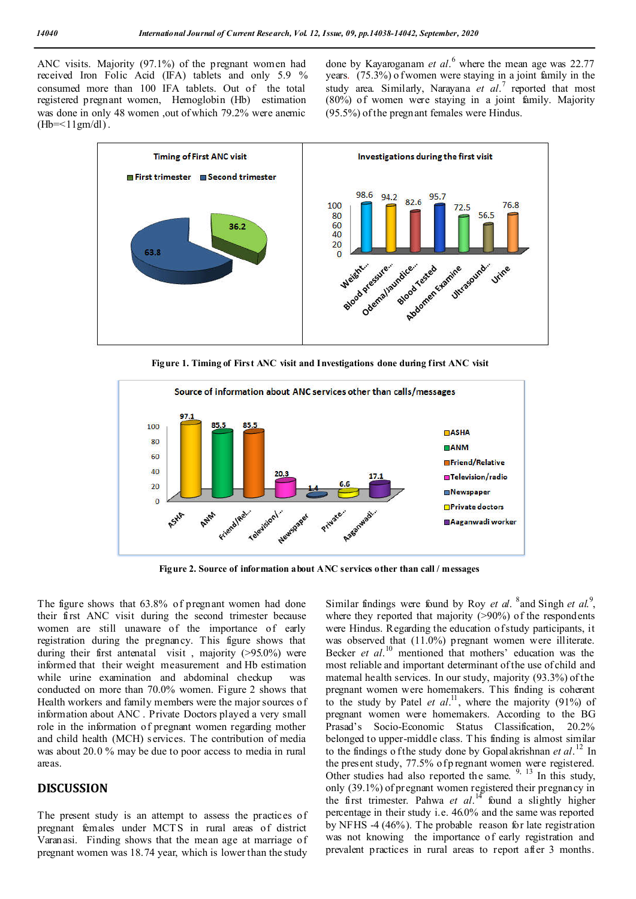ANC visits. Majority (97.1%) of the pregnant women had received Iron Folic Acid (IFA) tablets and only 5.9 % consumed more than 100 IFA tablets. Out of the total registered pregnant women, Hemoglobin (Hb) estimation was done in only 48 women ,out of which 79.2% were anemic  $(Hb=<11gm/dl)$ .

done by Kayaroganam *et al*. <sup>6</sup> where the mean age was 22.77 years. (75.3%) o f women were staying in a joint family in the study area. Similarly, Narayana *et al*. <sup>7</sup> reported that most (80%) of women were staying in a joint family. Majority (95.5%) of the pregnant females were Hindus.



**Figure 1. Timing of First ANC visit and Investigations done during first ANC visit**



**Figure 2. Source of information about ANC services other than call / messages**

The figure shows that 63.8% of pregnant women had done their first ANC visit during the second trimester because women are still unaware of the importance of early registration during the pregnancy. This figure shows that during their first antenatal visit , majority (>95.0%) were informed that their weight measurement and Hb estimation while urine examination and abdominal checkup was conducted on more than 70.0% women. Figure 2 shows that Health workers and family members were the major sources of information about ANC . Private Doctors played a very small role in the information of pregnant women regarding mother and child health (MCH) services. The contribution of media was about 20.0 % may be due to poor access to media in rural areas.

## **DISCUSSION**

The present study is an attempt to assess the practices of pregnant females under MCT S in rural areas of district Varanasi. Finding shows that the mean age at marriage of pregnant women was 18.74 year, which is lower than the study

Similar findings were found by Roy *et al*. <sup>8</sup> and Singh *et al.*<sup>9</sup>, where they reported that majority (>90%) of the respondents were Hindus. Regarding the education of study participants, it was observed that (11.0%) pregnant women were illiterate. Becker *et al*. <sup>10</sup> mentioned that mothers' education was the most reliable and important determinant of the use of child and maternal health services. In our study, majority (93.3%) of the pregnant women were homemakers. This finding is coherent to the study by Patel *et al.*<sup>11</sup>, where the majority (91%) of pregnant women were homemakers. According to the BG Prasad's Socio-Economic Status Classification, 20.2% belonged to upper-middle class. T his finding is almost similar to the findings o f the study done by Gopalakrishnan *et al*. <sup>12</sup> In the present study, 77.5% of p regnant women were registered. Other studies had also reported the same.  $9, 13$  In this study, only (39.1%) of pregnant women registered their pregnancy in the first trimester. Pahwa *et al*. 14 found a slightly higher percentage in their study i.e. 46.0% and the same was reported by NFHS -4 (46%). The probable reason for late registration was not knowing the importance of early registration and prevalent practices in rural areas to report after 3 months.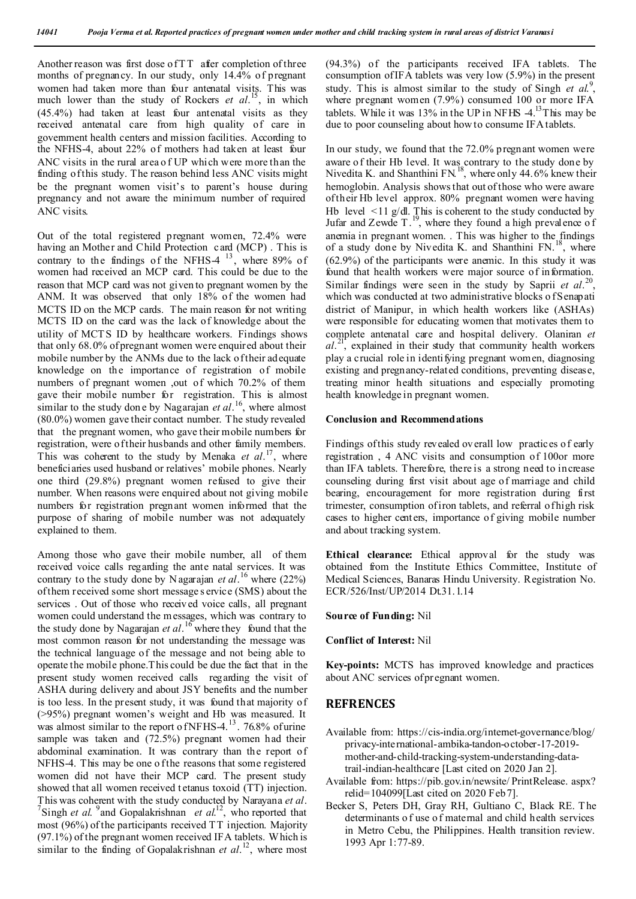Another reason was first dose of TT after completion of three months of pregnancy. In our study, only 14.4% of pregnant women had taken more than four antenatal visits. This was much lower than the study of Rockers *et al*. 15, in which (45.4%) had taken at least four antenatal visits as they received antenatal care from high quality of care in government health centers and mission facilities. According to the NFHS-4, about 22% of mothers had taken at least four ANC visits in the rural area o f UP which were more than the finding of this study. The reason behind less ANC visits might be the pregnant women visit's to parent's house during pregnancy and not aware the minimum number of required ANC visits.

Out of the total registered pregnant women, 72.4% were having an Mother and Child Protection card (MCP) . This is contrary to the findings of the NFHS-4  $^{13}$ , where 89% of women had received an MCP card. This could be due to the reason that MCP card was not given to pregnant women by the ANM. It was observed that only 18% of the women had MCTS ID on the MCP cards. The main reason for not writing MCTS ID on the card was the lack of knowledge about the utility of MCT S ID by healthcare workers. Findings shows that only 68.0% of pregnant women were enquired about their mobile number by the ANMs due to the lack of their adequate knowledge on the importance of registration of mobile numbers of pregnant women ,out of which 70.2% of them gave their mobile number for registration. This is almost similar to the study don e by Nagarajan *et al*. 16, where almost (80.0%) women gave their contact number. The study revealed that the pregnant women, who gave their mobile numbers for registration, were of their husbands and other family members. This was coherent to the study by Menaka *et al*. 17, where beneficiaries used husband or relatives' mobile phones. Nearly one third (29.8%) pregnant women refused to give their number. When reasons were enquired about not giving mobile numbers for registration pregnant women informed that the purpose of sharing of mobile number was not adequately explained to them.

Among those who gave their mobile number, all of them received voice calls regarding the ante natal services. It was contrary to the study done by N agarajan *et al*. 16 where (22%) of them received some short message s ervice (SMS) about the services . Out of those who received voice calls, all pregnant women could understand the m essages, which was contrary to the study done by Nagarajan *et al*. 16 where they found that the most common reason for not understanding the message was the technical language of the message and not being able to operate the mobile phone.This could be due the fact that in the present study women received calls regarding the visit of ASHA during delivery and about JSY benefits and the number is too less. In the present study, it was found that majority of (>95%) pregnant women's weight and Hb was measured. It was almost similar to the report of NFHS- $4^{13}$ . 76.8% of urine sample was taken and (72.5%) pregnant women had their abdominal examination. It was contrary than the report of NFHS-4. This may be one of the reasons that some registered women did not have their MCP card. The present study showed that all women received t etanus toxoid (TT) injection. This was coherent with the study conducted by Narayana *et al*. 7 Singh *et al.* <sup>9</sup> and Gopalakrishnan *et al.*<sup>12</sup>, who reported that most (96%) of the participants received TT injection. Majority (97.1%) of the pregnant women received IFA tablets. Which is similar to the finding of Gopalakrishnan *et al.*<sup>12</sup>, where most

(94.3%) of the participants received IFA tablets. The consumption of IFA tablets was very low (5.9%) in the present study. This is almost similar to the study of Singh *et al.*<sup>9</sup>, where pregnant women (7.9%) consumed 100 or more IFA tablets. While it was  $13\%$  in the UP in NFHS  $-4$ .<sup>13</sup>This may be due to poor counseling about how to consume IFA tablets.

In our study, we found that the 72.0% pregnant women were aware of their Hb level. It was contrary to the study done by Nivedita K. and Shanthini FN.<sup>18</sup>, where only 44.6% knew their hemoglobin. Analysis shows that out of those who were aware of their Hb level approx. 80% pregnant women were having Hb level  $\leq 11$  g/dl. This is coherent to the study conducted by Jufar and Zewde  $T^{19}$ , where they found a high prevalence of anemia in pregnant women. . This was higher to the findings of a study done by Nivedita K. and Shanthini FN.<sup>18</sup>, where (62.9%) of the participants were anemic. In this study it was found that health workers were major source of information. Similar findings were seen in the study by Saprii *et al*. 20, which was conducted at two administrative blocks of Senapati district of Manipur, in which health workers like (ASHAs) were responsible for educating women that motivates them to complete antenatal care and hospital delivery. Olaniran *et*  al.<sup>21</sup>, explained in their study that community health workers play a crucial role in identifying pregnant women, diagnosing existing and pregnancy-related conditions, preventing disease, treating minor health situations and especially promoting health knowledge in pregnant women.

#### **Conclusion and Recommendations**

Findings of this study revealed ov erall low practices of early registration , 4 ANC visits and consumption of 100or more than IFA tablets. Therefore, there is a strong need to increase counseling during first visit about age of marriage and child bearing, encouragement for more registration during first trimester, consumption of iron tablets, and referral of high risk cases to higher centers, importance of giving mobile number and about tracking system.

**Ethical clearance:** Ethical approval for the study was obtained from the Institute Ethics Committee, Institute of Medical Sciences, Banaras Hindu University. Registration No. ECR/526/Inst/UP/2014 Dt.31.1.14

**Source of Funding:** Nil

#### **Conflict of Interest:** Nil

**Key-points:** MCTS has improved knowledge and practices about ANC services of pregnant women.

### **REFRENCES**

- Available from: https://cis-india.org/internet-governance/blog/ privacy-international-ambika-tandon-october-17-2019 mother-and-child-tracking-system-understanding-datatrail-indian-healthcare [Last cited on 2020 Jan 2].
- Available from: https://pib.gov.in/newsite/ PrintRelease. aspx? relid=104099[Last cited on 2020 Feb 7].
- Becker S, Peters DH, Gray RH, Gultiano C, Black RE. T he determinants o f use o f maternal and child health services in Metro Cebu, the Philippines. Health transition review. 1993 Apr 1:77-89.